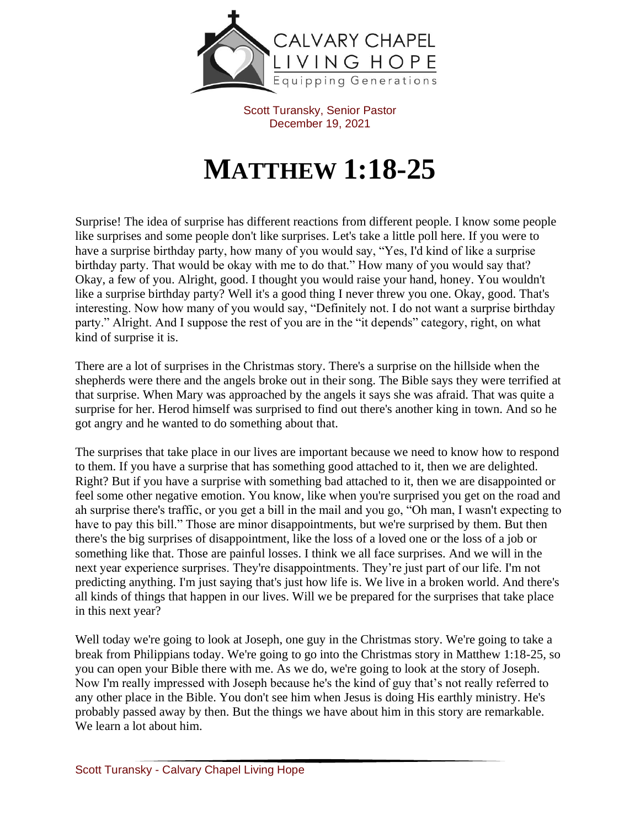

Scott Turansky, Senior Pastor December 19, 2021

## **MATTHEW 1:18-25**

Surprise! The idea of surprise has different reactions from different people. I know some people like surprises and some people don't like surprises. Let's take a little poll here. If you were to have a surprise birthday party, how many of you would say, "Yes, I'd kind of like a surprise birthday party. That would be okay with me to do that." How many of you would say that? Okay, a few of you. Alright, good. I thought you would raise your hand, honey. You wouldn't like a surprise birthday party? Well it's a good thing I never threw you one. Okay, good. That's interesting. Now how many of you would say, "Definitely not. I do not want a surprise birthday party." Alright. And I suppose the rest of you are in the "it depends" category, right, on what kind of surprise it is.

There are a lot of surprises in the Christmas story. There's a surprise on the hillside when the shepherds were there and the angels broke out in their song. The Bible says they were terrified at that surprise. When Mary was approached by the angels it says she was afraid. That was quite a surprise for her. Herod himself was surprised to find out there's another king in town. And so he got angry and he wanted to do something about that.

The surprises that take place in our lives are important because we need to know how to respond to them. If you have a surprise that has something good attached to it, then we are delighted. Right? But if you have a surprise with something bad attached to it, then we are disappointed or feel some other negative emotion. You know, like when you're surprised you get on the road and ah surprise there's traffic, or you get a bill in the mail and you go, "Oh man, I wasn't expecting to have to pay this bill." Those are minor disappointments, but we're surprised by them. But then there's the big surprises of disappointment, like the loss of a loved one or the loss of a job or something like that. Those are painful losses. I think we all face surprises. And we will in the next year experience surprises. They're disappointments. They're just part of our life. I'm not predicting anything. I'm just saying that's just how life is. We live in a broken world. And there's all kinds of things that happen in our lives. Will we be prepared for the surprises that take place in this next year?

Well today we're going to look at Joseph, one guy in the Christmas story. We're going to take a break from Philippians today. We're going to go into the Christmas story in Matthew 1:18-25, so you can open your Bible there with me. As we do, we're going to look at the story of Joseph. Now I'm really impressed with Joseph because he's the kind of guy that's not really referred to any other place in the Bible. You don't see him when Jesus is doing His earthly ministry. He's probably passed away by then. But the things we have about him in this story are remarkable. We learn a lot about him.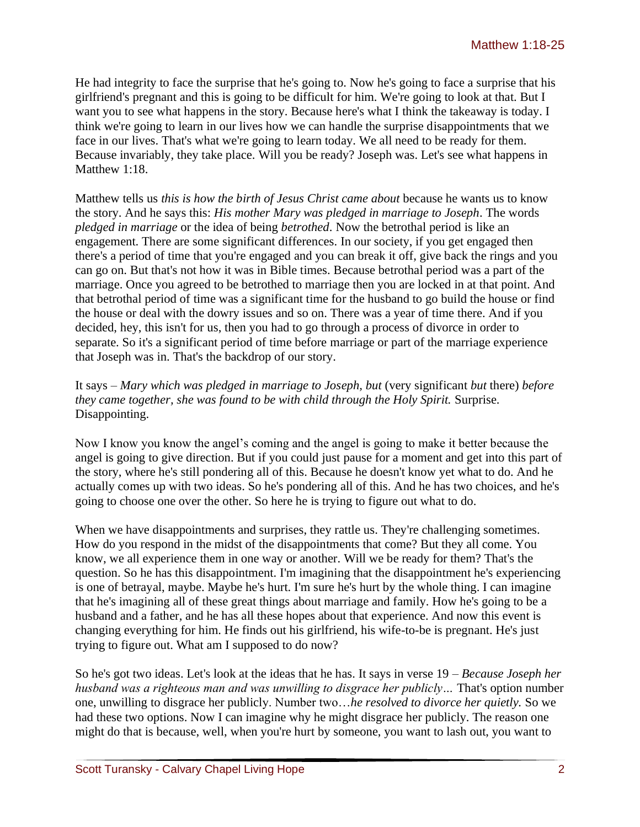He had integrity to face the surprise that he's going to. Now he's going to face a surprise that his girlfriend's pregnant and this is going to be difficult for him. We're going to look at that. But I want you to see what happens in the story. Because here's what I think the takeaway is today. I think we're going to learn in our lives how we can handle the surprise disappointments that we face in our lives. That's what we're going to learn today. We all need to be ready for them. Because invariably, they take place. Will you be ready? Joseph was. Let's see what happens in Matthew 1:18

Matthew tells us *this is how the birth of Jesus Christ came about* because he wants us to know the story. And he says this: *His mother Mary was pledged in marriage to Joseph*. The words *pledged in marriage* or the idea of being *betrothed*. Now the betrothal period is like an engagement. There are some significant differences. In our society, if you get engaged then there's a period of time that you're engaged and you can break it off, give back the rings and you can go on. But that's not how it was in Bible times. Because betrothal period was a part of the marriage. Once you agreed to be betrothed to marriage then you are locked in at that point. And that betrothal period of time was a significant time for the husband to go build the house or find the house or deal with the dowry issues and so on. There was a year of time there. And if you decided, hey, this isn't for us, then you had to go through a process of divorce in order to separate. So it's a significant period of time before marriage or part of the marriage experience that Joseph was in. That's the backdrop of our story.

It says – *Mary which was pledged in marriage to Joseph, but* (very significant *but* there) *before they came together, she was found to be with child through the Holy Spirit.* Surprise. Disappointing.

Now I know you know the angel's coming and the angel is going to make it better because the angel is going to give direction. But if you could just pause for a moment and get into this part of the story, where he's still pondering all of this. Because he doesn't know yet what to do. And he actually comes up with two ideas. So he's pondering all of this. And he has two choices, and he's going to choose one over the other. So here he is trying to figure out what to do.

When we have disappointments and surprises, they rattle us. They're challenging sometimes. How do you respond in the midst of the disappointments that come? But they all come. You know, we all experience them in one way or another. Will we be ready for them? That's the question. So he has this disappointment. I'm imagining that the disappointment he's experiencing is one of betrayal, maybe. Maybe he's hurt. I'm sure he's hurt by the whole thing. I can imagine that he's imagining all of these great things about marriage and family. How he's going to be a husband and a father, and he has all these hopes about that experience. And now this event is changing everything for him. He finds out his girlfriend, his wife-to-be is pregnant. He's just trying to figure out. What am I supposed to do now?

So he's got two ideas. Let's look at the ideas that he has. It says in verse 19 – *Because Joseph her husband was a righteous man and was unwilling to disgrace her publicly…* That's option number one, unwilling to disgrace her publicly. Number two…*he resolved to divorce her quietly.* So we had these two options. Now I can imagine why he might disgrace her publicly. The reason one might do that is because, well, when you're hurt by someone, you want to lash out, you want to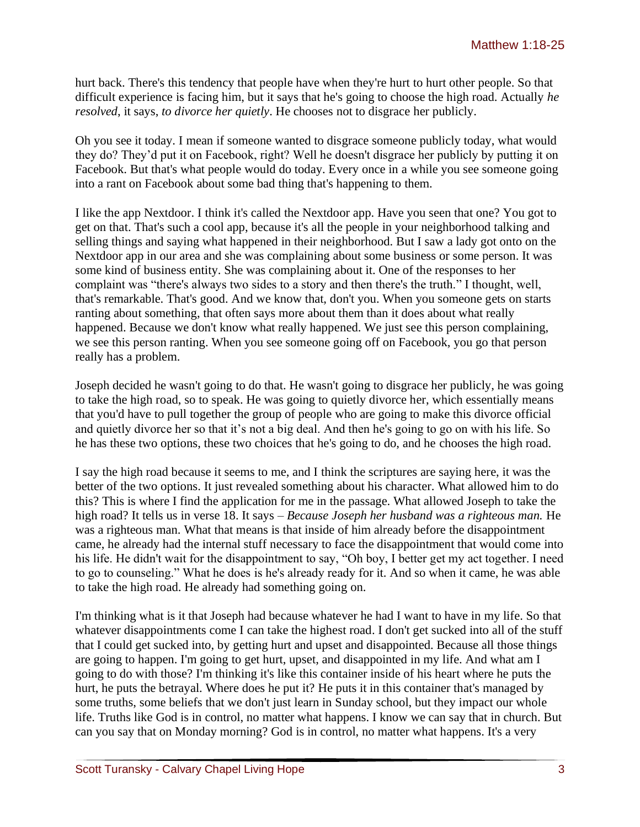hurt back. There's this tendency that people have when they're hurt to hurt other people. So that difficult experience is facing him, but it says that he's going to choose the high road. Actually *he resolved*, it says, *to divorce her quietly*. He chooses not to disgrace her publicly.

Oh you see it today. I mean if someone wanted to disgrace someone publicly today, what would they do? They'd put it on Facebook, right? Well he doesn't disgrace her publicly by putting it on Facebook. But that's what people would do today. Every once in a while you see someone going into a rant on Facebook about some bad thing that's happening to them.

I like the app Nextdoor. I think it's called the Nextdoor app. Have you seen that one? You got to get on that. That's such a cool app, because it's all the people in your neighborhood talking and selling things and saying what happened in their neighborhood. But I saw a lady got onto on the Nextdoor app in our area and she was complaining about some business or some person. It was some kind of business entity. She was complaining about it. One of the responses to her complaint was "there's always two sides to a story and then there's the truth." I thought, well, that's remarkable. That's good. And we know that, don't you. When you someone gets on starts ranting about something, that often says more about them than it does about what really happened. Because we don't know what really happened. We just see this person complaining, we see this person ranting. When you see someone going off on Facebook, you go that person really has a problem.

Joseph decided he wasn't going to do that. He wasn't going to disgrace her publicly, he was going to take the high road, so to speak. He was going to quietly divorce her, which essentially means that you'd have to pull together the group of people who are going to make this divorce official and quietly divorce her so that it's not a big deal. And then he's going to go on with his life. So he has these two options, these two choices that he's going to do, and he chooses the high road.

I say the high road because it seems to me, and I think the scriptures are saying here, it was the better of the two options. It just revealed something about his character. What allowed him to do this? This is where I find the application for me in the passage. What allowed Joseph to take the high road? It tells us in verse 18. It says – *Because Joseph her husband was a righteous man.* He was a righteous man. What that means is that inside of him already before the disappointment came, he already had the internal stuff necessary to face the disappointment that would come into his life. He didn't wait for the disappointment to say, "Oh boy, I better get my act together. I need to go to counseling." What he does is he's already ready for it. And so when it came, he was able to take the high road. He already had something going on.

I'm thinking what is it that Joseph had because whatever he had I want to have in my life. So that whatever disappointments come I can take the highest road. I don't get sucked into all of the stuff that I could get sucked into, by getting hurt and upset and disappointed. Because all those things are going to happen. I'm going to get hurt, upset, and disappointed in my life. And what am I going to do with those? I'm thinking it's like this container inside of his heart where he puts the hurt, he puts the betrayal. Where does he put it? He puts it in this container that's managed by some truths, some beliefs that we don't just learn in Sunday school, but they impact our whole life. Truths like God is in control, no matter what happens. I know we can say that in church. But can you say that on Monday morning? God is in control, no matter what happens. It's a very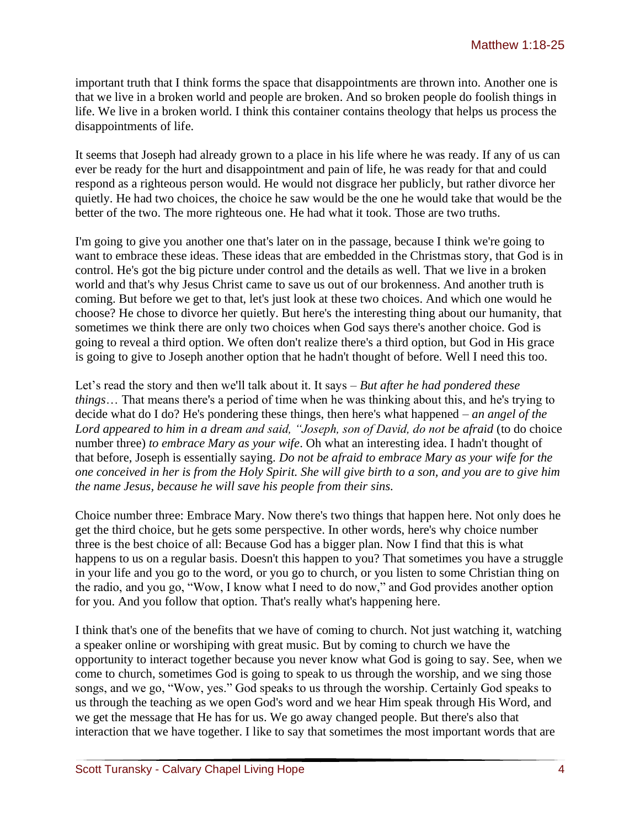important truth that I think forms the space that disappointments are thrown into. Another one is that we live in a broken world and people are broken. And so broken people do foolish things in life. We live in a broken world. I think this container contains theology that helps us process the disappointments of life.

It seems that Joseph had already grown to a place in his life where he was ready. If any of us can ever be ready for the hurt and disappointment and pain of life, he was ready for that and could respond as a righteous person would. He would not disgrace her publicly, but rather divorce her quietly. He had two choices, the choice he saw would be the one he would take that would be the better of the two. The more righteous one. He had what it took. Those are two truths.

I'm going to give you another one that's later on in the passage, because I think we're going to want to embrace these ideas. These ideas that are embedded in the Christmas story, that God is in control. He's got the big picture under control and the details as well. That we live in a broken world and that's why Jesus Christ came to save us out of our brokenness. And another truth is coming. But before we get to that, let's just look at these two choices. And which one would he choose? He chose to divorce her quietly. But here's the interesting thing about our humanity, that sometimes we think there are only two choices when God says there's another choice. God is going to reveal a third option. We often don't realize there's a third option, but God in His grace is going to give to Joseph another option that he hadn't thought of before. Well I need this too.

Let's read the story and then we'll talk about it. It says – *But after he had pondered these things*… That means there's a period of time when he was thinking about this, and he's trying to decide what do I do? He's pondering these things, then here's what happened – *an angel of the Lord appeared to him in a dream and said, "Joseph, son of David, do not be afraid* (to do choice number three) *to embrace Mary as your wife*. Oh what an interesting idea. I hadn't thought of that before, Joseph is essentially saying. *Do not be afraid to embrace Mary as your wife for the one conceived in her is from the Holy Spirit. She will give birth to a son, and you are to give him the name Jesus, because he will save his people from their sins.*

Choice number three: Embrace Mary. Now there's two things that happen here. Not only does he get the third choice, but he gets some perspective. In other words, here's why choice number three is the best choice of all: Because God has a bigger plan. Now I find that this is what happens to us on a regular basis. Doesn't this happen to you? That sometimes you have a struggle in your life and you go to the word, or you go to church, or you listen to some Christian thing on the radio, and you go, "Wow, I know what I need to do now," and God provides another option for you. And you follow that option. That's really what's happening here.

I think that's one of the benefits that we have of coming to church. Not just watching it, watching a speaker online or worshiping with great music. But by coming to church we have the opportunity to interact together because you never know what God is going to say. See, when we come to church, sometimes God is going to speak to us through the worship, and we sing those songs, and we go, "Wow, yes." God speaks to us through the worship. Certainly God speaks to us through the teaching as we open God's word and we hear Him speak through His Word, and we get the message that He has for us. We go away changed people. But there's also that interaction that we have together. I like to say that sometimes the most important words that are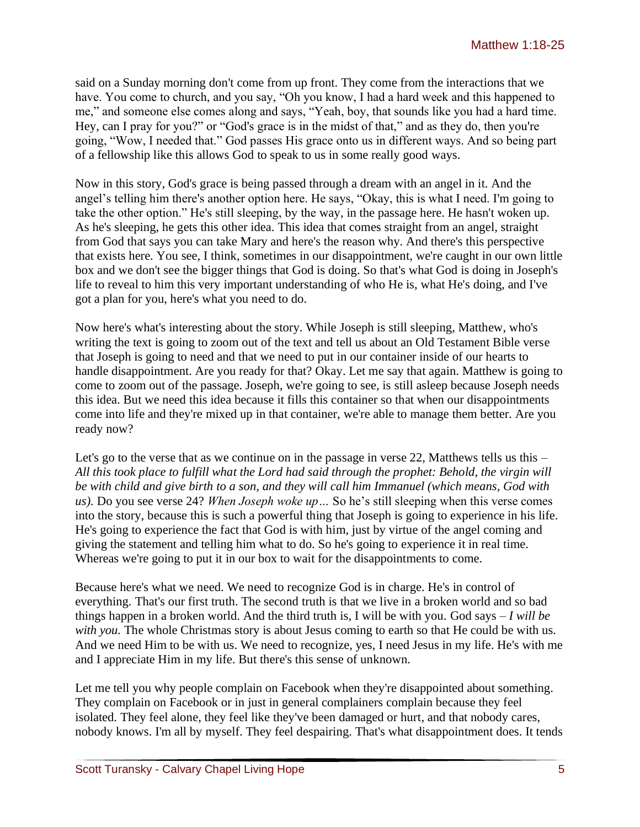said on a Sunday morning don't come from up front. They come from the interactions that we have. You come to church, and you say, "Oh you know, I had a hard week and this happened to me," and someone else comes along and says, "Yeah, boy, that sounds like you had a hard time. Hey, can I pray for you?" or "God's grace is in the midst of that," and as they do, then you're going, "Wow, I needed that." God passes His grace onto us in different ways. And so being part of a fellowship like this allows God to speak to us in some really good ways.

Now in this story, God's grace is being passed through a dream with an angel in it. And the angel's telling him there's another option here. He says, "Okay, this is what I need. I'm going to take the other option." He's still sleeping, by the way, in the passage here. He hasn't woken up. As he's sleeping, he gets this other idea. This idea that comes straight from an angel, straight from God that says you can take Mary and here's the reason why. And there's this perspective that exists here. You see, I think, sometimes in our disappointment, we're caught in our own little box and we don't see the bigger things that God is doing. So that's what God is doing in Joseph's life to reveal to him this very important understanding of who He is, what He's doing, and I've got a plan for you, here's what you need to do.

Now here's what's interesting about the story. While Joseph is still sleeping, Matthew, who's writing the text is going to zoom out of the text and tell us about an Old Testament Bible verse that Joseph is going to need and that we need to put in our container inside of our hearts to handle disappointment. Are you ready for that? Okay. Let me say that again. Matthew is going to come to zoom out of the passage. Joseph, we're going to see, is still asleep because Joseph needs this idea. But we need this idea because it fills this container so that when our disappointments come into life and they're mixed up in that container, we're able to manage them better. Are you ready now?

Let's go to the verse that as we continue on in the passage in verse 22, Matthews tells us this – *All this took place to fulfill what the Lord had said through the prophet: Behold, the virgin will be with child and give birth to a son, and they will call him Immanuel (which means, God with us).* Do you see verse 24? *When Joseph woke up…* So he's still sleeping when this verse comes into the story, because this is such a powerful thing that Joseph is going to experience in his life. He's going to experience the fact that God is with him, just by virtue of the angel coming and giving the statement and telling him what to do. So he's going to experience it in real time. Whereas we're going to put it in our box to wait for the disappointments to come.

Because here's what we need. We need to recognize God is in charge. He's in control of everything. That's our first truth. The second truth is that we live in a broken world and so bad things happen in a broken world. And the third truth is, I will be with you. God says – *I will be with you.* The whole Christmas story is about Jesus coming to earth so that He could be with us. And we need Him to be with us. We need to recognize, yes, I need Jesus in my life. He's with me and I appreciate Him in my life. But there's this sense of unknown.

Let me tell you why people complain on Facebook when they're disappointed about something. They complain on Facebook or in just in general complainers complain because they feel isolated. They feel alone, they feel like they've been damaged or hurt, and that nobody cares, nobody knows. I'm all by myself. They feel despairing. That's what disappointment does. It tends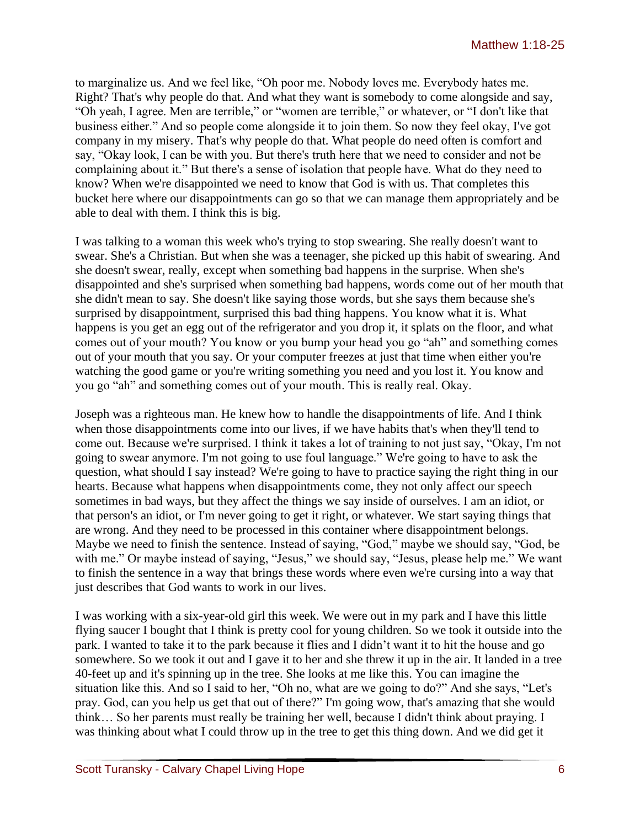to marginalize us. And we feel like, "Oh poor me. Nobody loves me. Everybody hates me. Right? That's why people do that. And what they want is somebody to come alongside and say, "Oh yeah, I agree. Men are terrible," or "women are terrible," or whatever, or "I don't like that business either." And so people come alongside it to join them. So now they feel okay, I've got company in my misery. That's why people do that. What people do need often is comfort and say, "Okay look, I can be with you. But there's truth here that we need to consider and not be complaining about it." But there's a sense of isolation that people have. What do they need to know? When we're disappointed we need to know that God is with us. That completes this bucket here where our disappointments can go so that we can manage them appropriately and be able to deal with them. I think this is big.

I was talking to a woman this week who's trying to stop swearing. She really doesn't want to swear. She's a Christian. But when she was a teenager, she picked up this habit of swearing. And she doesn't swear, really, except when something bad happens in the surprise. When she's disappointed and she's surprised when something bad happens, words come out of her mouth that she didn't mean to say. She doesn't like saying those words, but she says them because she's surprised by disappointment, surprised this bad thing happens. You know what it is. What happens is you get an egg out of the refrigerator and you drop it, it splats on the floor, and what comes out of your mouth? You know or you bump your head you go "ah" and something comes out of your mouth that you say. Or your computer freezes at just that time when either you're watching the good game or you're writing something you need and you lost it. You know and you go "ah" and something comes out of your mouth. This is really real. Okay.

Joseph was a righteous man. He knew how to handle the disappointments of life. And I think when those disappointments come into our lives, if we have habits that's when they'll tend to come out. Because we're surprised. I think it takes a lot of training to not just say, "Okay, I'm not going to swear anymore. I'm not going to use foul language." We're going to have to ask the question, what should I say instead? We're going to have to practice saying the right thing in our hearts. Because what happens when disappointments come, they not only affect our speech sometimes in bad ways, but they affect the things we say inside of ourselves. I am an idiot, or that person's an idiot, or I'm never going to get it right, or whatever. We start saying things that are wrong. And they need to be processed in this container where disappointment belongs. Maybe we need to finish the sentence. Instead of saying, "God," maybe we should say, "God, be with me." Or maybe instead of saying, "Jesus," we should say, "Jesus, please help me." We want to finish the sentence in a way that brings these words where even we're cursing into a way that just describes that God wants to work in our lives.

I was working with a six-year-old girl this week. We were out in my park and I have this little flying saucer I bought that I think is pretty cool for young children. So we took it outside into the park. I wanted to take it to the park because it flies and I didn't want it to hit the house and go somewhere. So we took it out and I gave it to her and she threw it up in the air. It landed in a tree 40-feet up and it's spinning up in the tree. She looks at me like this. You can imagine the situation like this. And so I said to her, "Oh no, what are we going to do?" And she says, "Let's pray. God, can you help us get that out of there?" I'm going wow, that's amazing that she would think… So her parents must really be training her well, because I didn't think about praying. I was thinking about what I could throw up in the tree to get this thing down. And we did get it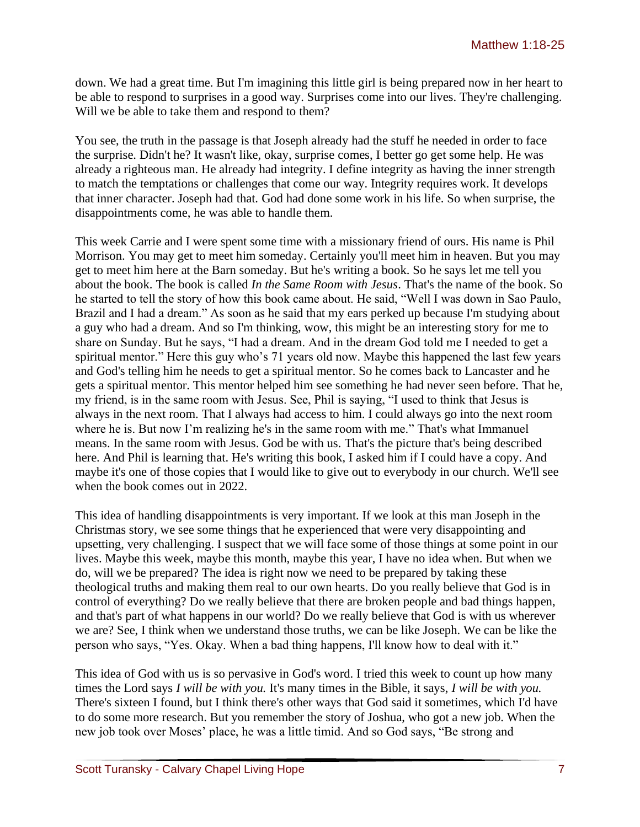down. We had a great time. But I'm imagining this little girl is being prepared now in her heart to be able to respond to surprises in a good way. Surprises come into our lives. They're challenging. Will we be able to take them and respond to them?

You see, the truth in the passage is that Joseph already had the stuff he needed in order to face the surprise. Didn't he? It wasn't like, okay, surprise comes, I better go get some help. He was already a righteous man. He already had integrity. I define integrity as having the inner strength to match the temptations or challenges that come our way. Integrity requires work. It develops that inner character. Joseph had that. God had done some work in his life. So when surprise, the disappointments come, he was able to handle them.

This week Carrie and I were spent some time with a missionary friend of ours. His name is Phil Morrison. You may get to meet him someday. Certainly you'll meet him in heaven. But you may get to meet him here at the Barn someday. But he's writing a book. So he says let me tell you about the book. The book is called *In the Same Room with Jesus*. That's the name of the book. So he started to tell the story of how this book came about. He said, "Well I was down in Sao Paulo, Brazil and I had a dream." As soon as he said that my ears perked up because I'm studying about a guy who had a dream. And so I'm thinking, wow, this might be an interesting story for me to share on Sunday. But he says, "I had a dream. And in the dream God told me I needed to get a spiritual mentor." Here this guy who's 71 years old now. Maybe this happened the last few years and God's telling him he needs to get a spiritual mentor. So he comes back to Lancaster and he gets a spiritual mentor. This mentor helped him see something he had never seen before. That he, my friend, is in the same room with Jesus. See, Phil is saying, "I used to think that Jesus is always in the next room. That I always had access to him. I could always go into the next room where he is. But now I'm realizing he's in the same room with me." That's what Immanuel means. In the same room with Jesus. God be with us. That's the picture that's being described here. And Phil is learning that. He's writing this book, I asked him if I could have a copy. And maybe it's one of those copies that I would like to give out to everybody in our church. We'll see when the book comes out in 2022.

This idea of handling disappointments is very important. If we look at this man Joseph in the Christmas story, we see some things that he experienced that were very disappointing and upsetting, very challenging. I suspect that we will face some of those things at some point in our lives. Maybe this week, maybe this month, maybe this year, I have no idea when. But when we do, will we be prepared? The idea is right now we need to be prepared by taking these theological truths and making them real to our own hearts. Do you really believe that God is in control of everything? Do we really believe that there are broken people and bad things happen, and that's part of what happens in our world? Do we really believe that God is with us wherever we are? See, I think when we understand those truths, we can be like Joseph. We can be like the person who says, "Yes. Okay. When a bad thing happens, I'll know how to deal with it."

This idea of God with us is so pervasive in God's word. I tried this week to count up how many times the Lord says *I will be with you.* It's many times in the Bible, it says, *I will be with you.* There's sixteen I found, but I think there's other ways that God said it sometimes, which I'd have to do some more research. But you remember the story of Joshua, who got a new job. When the new job took over Moses' place, he was a little timid. And so God says, "Be strong and